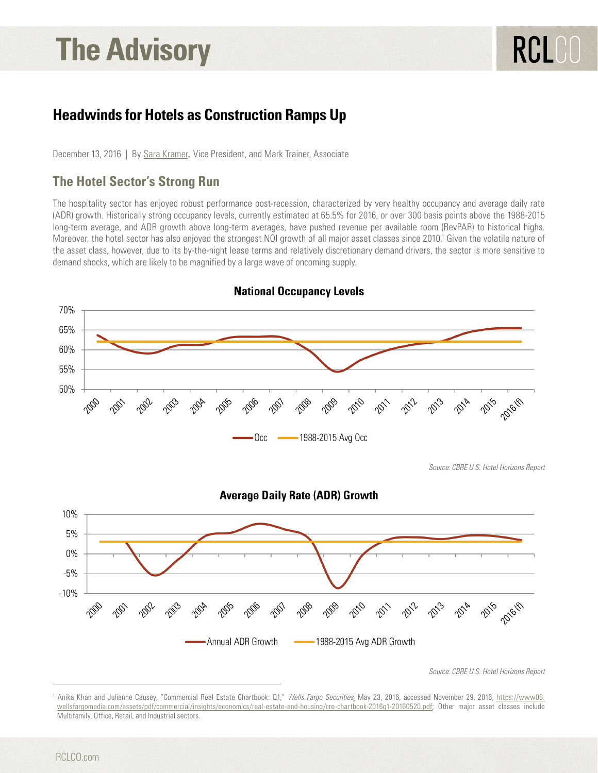# **The Advisory**

# **Headwinds for Hotels as Construction Ramps Up**

December 13, 2016 | By [Sara Kramer](http://www.rclco.com/sara-kramer), Vice President, and Mark Trainer, Associate

## **The Hotel Sector's Strong Run**

The hospitality sector has enjoyed robust performance post-recession, characterized by very healthy occupancy and average daily rate (ADR) growth. Historically strong occupancy levels, currently estimated at 65.5% for 2016, or over 300 basis points above the 1988-2015 long-term average, and ADR growth above long-term averages, have pushed revenue per available room (RevPAR) to historical highs. Moreover, the hotel sector has also enjoyed the strongest NOI growth of all major asset classes since 2010.<sup>1</sup> Given the volatile nature of the asset class, however, due to its by-the-night lease terms and relatively discretionary demand drivers, the sector is more sensitive to demand shocks, which are likely to be magnified by a large wave of oncoming supply.



**National Occupancy Levels** 

*Source: CBRE U.S. Hotel Horizons Report*

<sup>&</sup>lt;sup>1</sup> Anika Khan and Julianne Causey, "Commercial Real Estate Chartbook: Q1," *Wells Fargo Securities*¸ May 23, 2016, accessed November 29, 2016, <u>[https://www08.](https://www08.wellsfargomedia.com/assets/pdf/commercial/insights/economics/real-estate-and-housing/cre-chartbook-2016q1-20160520.pdf)</u> [wellsfargomedia.com/assets/pdf/commercial/insights/economics/real-estate-and-housing/cre-chartbook-2016q1-20160520.pdf;](https://www08.wellsfargomedia.com/assets/pdf/commercial/insights/economics/real-estate-and-housing/cre-chartbook-2016q1-20160520.pdf) Other major asset classes include Multifamily, Office, Retail, and Industrial sectors.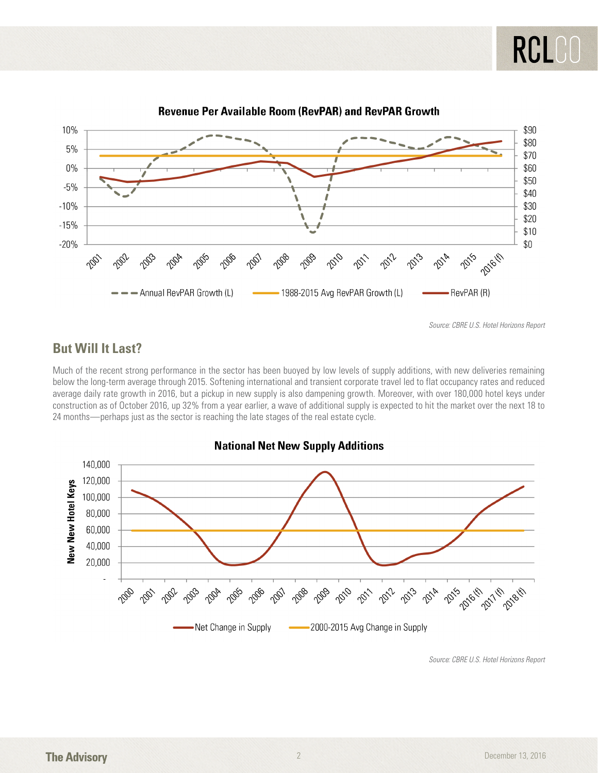

**Revenue Per Available Room (RevPAR) and RevPAR Growth** 

*Source: CBRE U.S. Hotel Horizons Report*

### **But Will It Last?**

Much of the recent strong performance in the sector has been buoyed by low levels of supply additions, with new deliveries remaining below the long-term average through 2015. Softening international and transient corporate travel led to flat occupancy rates and reduced average daily rate growth in 2016, but a pickup in new supply is also dampening growth. Moreover, with over 180,000 hotel keys under construction as of October 2016, up 32% from a year earlier, a wave of additional supply is expected to hit the market over the next 18 to 24 months—perhaps just as the sector is reaching the late stages of the real estate cycle.



**National Net New Supply Additions** 

*Source: CBRE U.S. Hotel Horizons Report*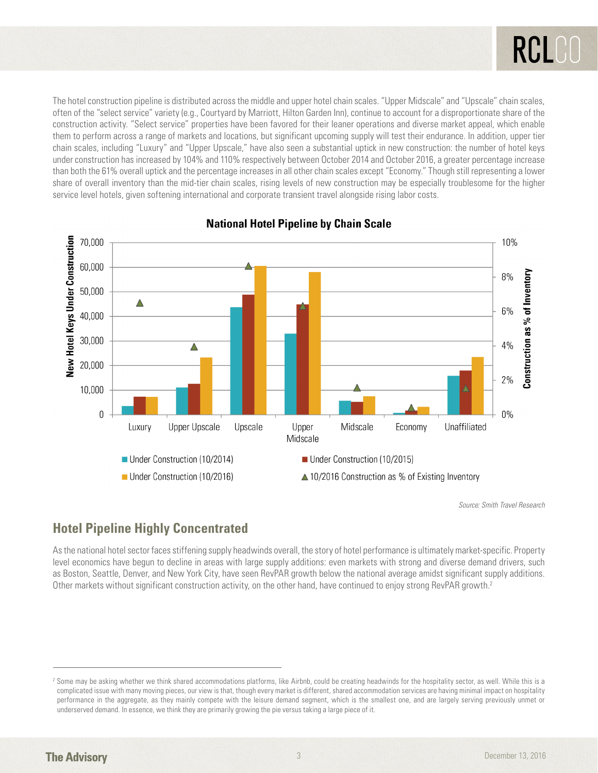The hotel construction pipeline is distributed across the middle and upper hotel chain scales. "Upper Midscale" and "Upscale" chain scales, often of the "select service" variety (e.g., Courtyard by Marriott, Hilton Garden Inn), continue to account for a disproportionate share of the construction activity. "Select service" properties have been favored for their leaner operations and diverse market appeal, which enable them to perform across a range of markets and locations, but significant upcoming supply will test their endurance. In addition, upper tier chain scales, including "Luxury" and "Upper Upscale," have also seen a substantial uptick in new construction: the number of hotel keys under construction has increased by 104% and 110% respectively between October 2014 and October 2016, a greater percentage increase than both the 61% overall uptick and the percentage increases in all other chain scales except "Economy." Though still representing a lower share of overall inventory than the mid-tier chain scales, rising levels of new construction may be especially troublesome for the higher service level hotels, given softening international and corporate transient travel alongside rising labor costs.



#### **National Hotel Pipeline by Chain Scale**

*Source: Smith Travel Research*

# **Hotel Pipeline Highly Concentrated**

As the national hotel sector faces stiffening supply headwinds overall, the story of hotel performance is ultimately market-specific. Property level economics have begun to decline in areas with large supply additions: even markets with strong and diverse demand drivers, such as Boston, Seattle, Denver, and New York City, have seen RevPAR growth below the national average amidst significant supply additions. Other markets without significant construction activity, on the other hand, have continued to enjoy strong RevPAR growth.2

<sup>2</sup> Some may be asking whether we think shared accommodations platforms, like Airbnb, could be creating headwinds for the hospitality sector, as well. While this is a complicated issue with many moving pieces, our view is that, though every market is different, shared accommodation services are having minimal impact on hospitality performance in the aggregate, as they mainly compete with the leisure demand segment, which is the smallest one, and are largely serving previously unmet or underserved demand. In essence, we think they are primarily growing the pie versus taking a large piece of it.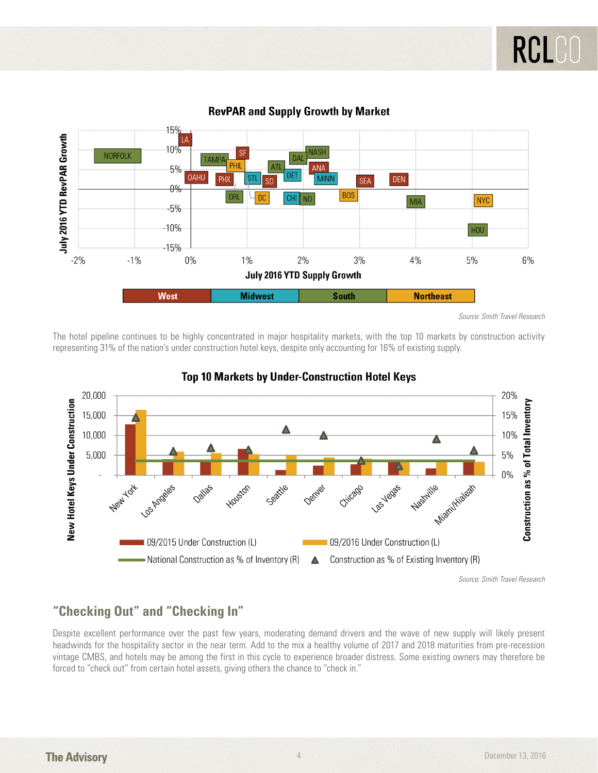

#### **RevPAR and Supply Growth by Market**

*Source: Smith Travel Research*

The hotel pipeline continues to be highly concentrated in major hospitality markets, with the top 10 markets by construction activity representing 31% of the nation's under construction hotel keys, despite only accounting for 16% of existing supply.



#### **Top 10 Markets by Under-Construction Hotel Keys**

*Source: Smith Travel Research*

## **"Checking Out" and "Checking In"**

Despite excellent performance over the past few years, moderating demand drivers and the wave of new supply will likely present headwinds for the hospitality sector in the near term. Add to the mix a healthy volume of 2017 and 2018 maturities from pre-recession vintage CMBS, and hotels may be among the first in this cycle to experience broader distress. Some existing owners may therefore be forced to "check out" from certain hotel assets, giving others the chance to "check in."